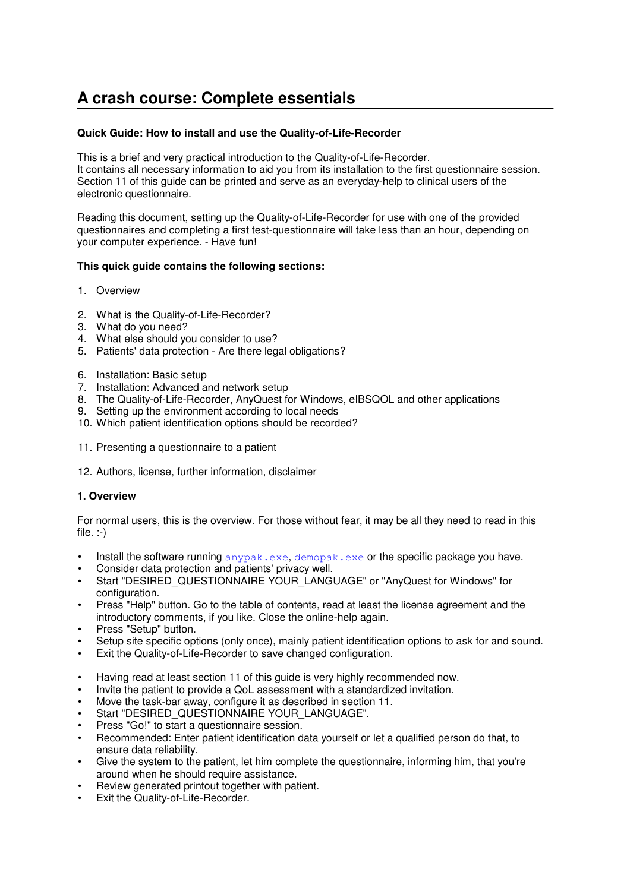# **A crash course: Complete essentials**

# **Quick Guide: How to install and use the Quality-of-Life-Recorder**

This is a brief and very practical introduction to the Quality-of-Life-Recorder. It contains all necessary information to aid you from its installation to the first questionnaire session. Section 11 of this guide can be printed and serve as an everyday-help to clinical users of the electronic questionnaire.

Reading this document, setting up the Quality-of-Life-Recorder for use with one of the provided questionnaires and completing a first test-questionnaire will take less than an hour, depending on your computer experience. - Have fun!

# **This quick guide contains the following sections:**

- 1. Overview
- 2. What is the Quality-of-Life-Recorder?
- 3. What do you need?
- 4. What else should you consider to use?
- 5. Patients' data protection Are there legal obligations?
- 6. Installation: Basic setup
- 7. Installation: Advanced and network setup
- 8. The Quality-of-Life-Recorder, AnyQuest for Windows, eIBSQOL and other applications
- 9. Setting up the environment according to local needs
- 10. Which patient identification options should be recorded?
- 11. Presenting a questionnaire to a patient
- 12. Authors, license, further information, disclaimer

# **1. Overview**

For normal users, this is the overview. For those without fear, it may be all they need to read in this file.  $:-)$ 

- Install the software running  $\frac{anypak,exe, demopak,exe}$  or the specific package you have.
- Consider data protection and patients' privacy well.
- Start "DESIRED\_QUESTIONNAIRE YOUR\_LANGUAGE" or "AnyQuest for Windows" for configuration.
- Press "Help" button. Go to the table of contents, read at least the license agreement and the introductory comments, if you like. Close the online-help again.
- Press "Setup" button.
- Setup site specific options (only once), mainly patient identification options to ask for and sound.
- Exit the Quality-of-Life-Recorder to save changed configuration.
- Having read at least section 11 of this guide is very highly recommended now.
- Invite the patient to provide a QoL assessment with a standardized invitation.
- Move the task-bar away, configure it as described in section 11.
- Start "DESIRED\_QUESTIONNAIRE YOUR\_LANGUAGE".
- Press "Go!" to start a questionnaire session.
- Recommended: Enter patient identification data yourself or let a qualified person do that, to ensure data reliability.
- Give the system to the patient, let him complete the questionnaire, informing him, that you're around when he should require assistance.
- Review generated printout together with patient.
- Exit the Quality-of-Life-Recorder.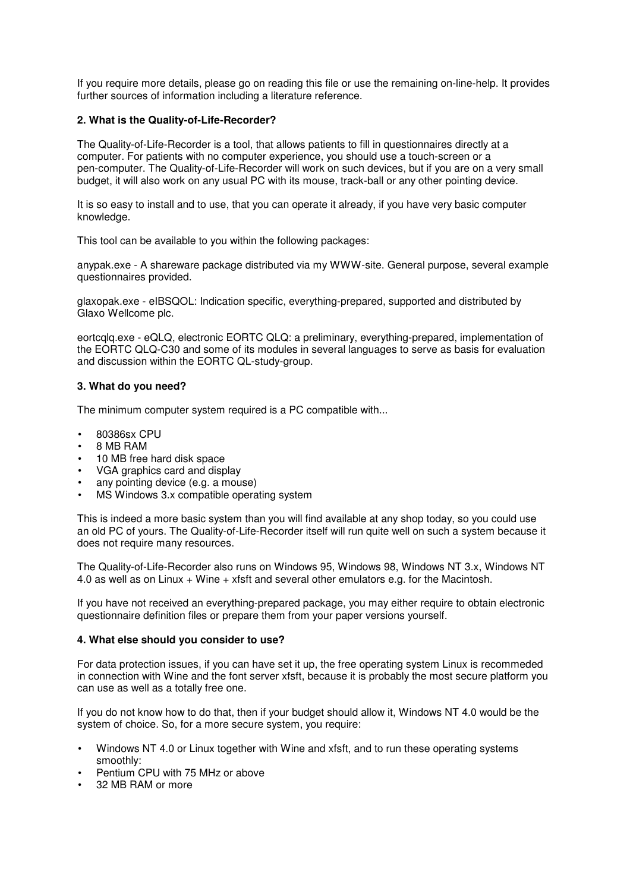If you require more details, please go on reading this file or use the remaining on-line-help. It provides further sources of information including a literature reference.

# **2. What is the Quality-of-Life-Recorder?**

The Quality-of-Life-Recorder is a tool, that allows patients to fill in questionnaires directly at a computer. For patients with no computer experience, you should use a touch-screen or a pen-computer. The Quality-of-Life-Recorder will work on such devices, but if you are on a very small budget, it will also work on any usual PC with its mouse, track-ball or any other pointing device.

It is so easy to install and to use, that you can operate it already, if you have very basic computer knowledge.

This tool can be available to you within the following packages:

anypak.exe - A shareware package distributed via my WWW-site. General purpose, several example questionnaires provided.

glaxopak.exe - eIBSQOL: Indication specific, everything-prepared, supported and distributed by Glaxo Wellcome plc.

eortcqlq.exe - eQLQ, electronic EORTC QLQ: a preliminary, everything-prepared, implementation of the EORTC QLQ-C30 and some of its modules in several languages to serve as basis for evaluation and discussion within the EORTC QL-study-group.

#### **3. What do you need?**

The minimum computer system required is a PC compatible with...

- 80386sx CPU
- 8 MB RAM
- 10 MB free hard disk space
- VGA graphics card and display
- any pointing device (e.g. a mouse)
- MS Windows 3.x compatible operating system

This is indeed a more basic system than you will find available at any shop today, so you could use an old PC of yours. The Quality-of-Life-Recorder itself will run quite well on such a system because it does not require many resources.

The Quality-of-Life-Recorder also runs on Windows 95, Windows 98, Windows NT 3.x, Windows NT 4.0 as well as on Linux + Wine + xfsft and several other emulators e.g. for the Macintosh.

If you have not received an everything-prepared package, you may either require to obtain electronic questionnaire definition files or prepare them from your paper versions yourself.

#### **4. What else should you consider to use?**

For data protection issues, if you can have set it up, the free operating system Linux is recommeded in connection with Wine and the font server xfsft, because it is probably the most secure platform you can use as well as a totally free one.

If you do not know how to do that, then if your budget should allow it, Windows NT 4.0 would be the system of choice. So, for a more secure system, you require:

- Windows NT 4.0 or Linux together with Wine and xfsft, and to run these operating systems smoothly:
- Pentium CPU with 75 MHz or above
- 32 MB RAM or more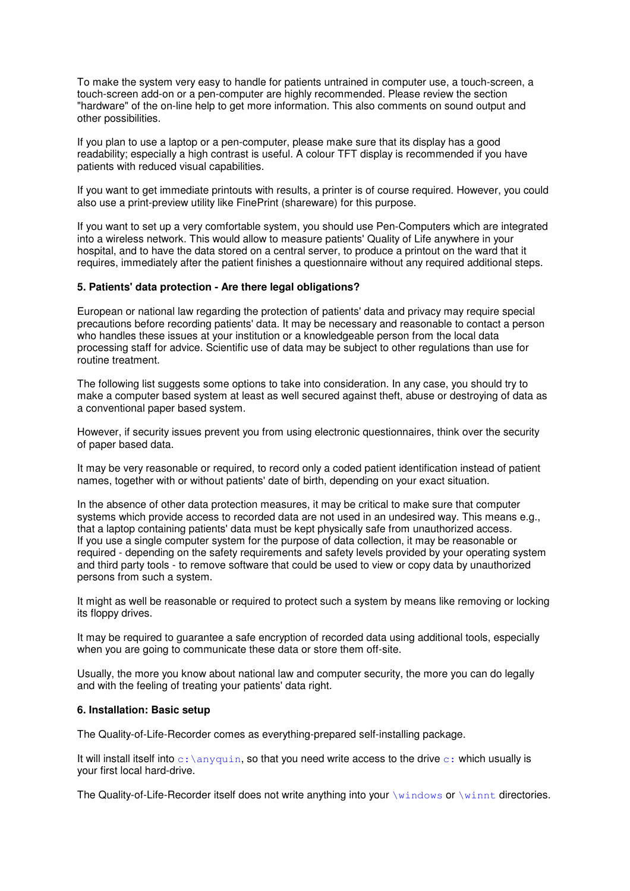To make the system very easy to handle for patients untrained in computer use, a touch-screen, a touch-screen add-on or a pen-computer are highly recommended. Please review the section "hardware" of the on-line help to get more information. This also comments on sound output and other possibilities.

If you plan to use a laptop or a pen-computer, please make sure that its display has a good readability; especially a high contrast is useful. A colour TFT display is recommended if you have patients with reduced visual capabilities.

If you want to get immediate printouts with results, a printer is of course required. However, you could also use a print-preview utility like FinePrint (shareware) for this purpose.

If you want to set up a very comfortable system, you should use Pen-Computers which are integrated into a wireless network. This would allow to measure patients' Quality of Life anywhere in your hospital, and to have the data stored on a central server, to produce a printout on the ward that it requires, immediately after the patient finishes a questionnaire without any required additional steps.

#### **5. Patients' data protection - Are there legal obligations?**

European or national law regarding the protection of patients' data and privacy may require special precautions before recording patients' data. It may be necessary and reasonable to contact a person who handles these issues at your institution or a knowledgeable person from the local data processing staff for advice. Scientific use of data may be subject to other regulations than use for routine treatment.

The following list suggests some options to take into consideration. In any case, you should try to make a computer based system at least as well secured against theft, abuse or destroying of data as a conventional paper based system.

However, if security issues prevent you from using electronic questionnaires, think over the security of paper based data.

It may be very reasonable or required, to record only a coded patient identification instead of patient names, together with or without patients' date of birth, depending on your exact situation.

In the absence of other data protection measures, it may be critical to make sure that computer systems which provide access to recorded data are not used in an undesired way. This means e.g., that a laptop containing patients' data must be kept physically safe from unauthorized access. If you use a single computer system for the purpose of data collection, it may be reasonable or required - depending on the safety requirements and safety levels provided by your operating system and third party tools - to remove software that could be used to view or copy data by unauthorized persons from such a system.

It might as well be reasonable or required to protect such a system by means like removing or locking its floppy drives.

It may be required to guarantee a safe encryption of recorded data using additional tools, especially when you are going to communicate these data or store them off-site.

Usually, the more you know about national law and computer security, the more you can do legally and with the feeling of treating your patients' data right.

#### **6. Installation: Basic setup**

The Quality-of-Life-Recorder comes as everything-prepared self-installing package.

It will install itself into  $c:\\ary_{\text{anyquin}}$ , so that you need write access to the drive  $c:$  which usually is your first local hard-drive.

The Quality-of-Life-Recorder itself does not write anything into your \windows or \winnt directories.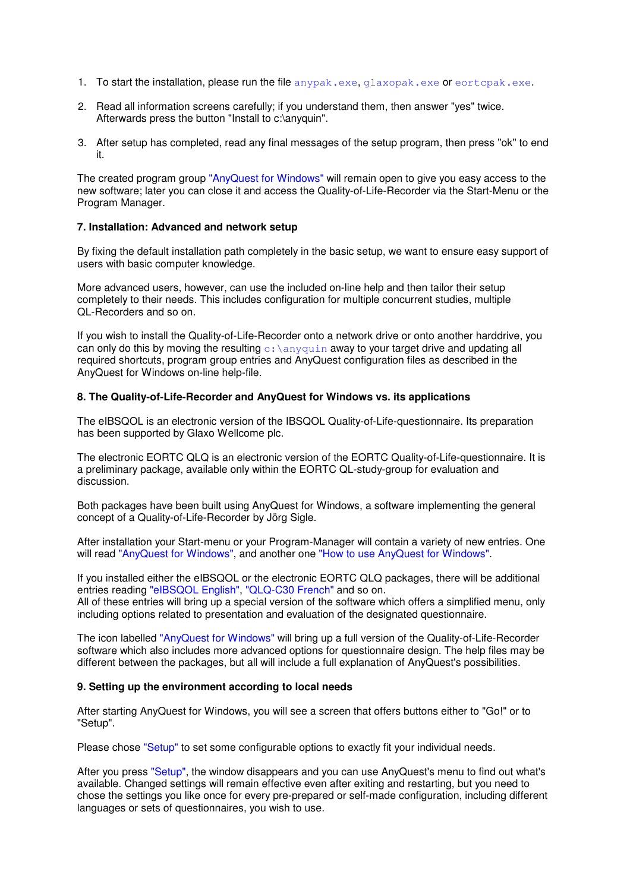- 1. To start the installation, please run the file anypak.exe, glaxopak.exe or eortcpak.exe.
- 2. Read all information screens carefully; if you understand them, then answer "yes" twice. Afterwards press the button "Install to c:\anyquin".
- 3. After setup has completed, read any final messages of the setup program, then press "ok" to end it.

The created program group "AnyQuest for Windows" will remain open to give you easy access to the new software; later you can close it and access the Quality-of-Life-Recorder via the Start-Menu or the Program Manager.

## **7. Installation: Advanced and network setup**

By fixing the default installation path completely in the basic setup, we want to ensure easy support of users with basic computer knowledge.

More advanced users, however, can use the included on-line help and then tailor their setup completely to their needs. This includes configuration for multiple concurrent studies, multiple QL-Recorders and so on.

If you wish to install the Quality-of-Life-Recorder onto a network drive or onto another harddrive, you can only do this by moving the resulting  $c:\varphi$  any quin away to your target drive and updating all required shortcuts, program group entries and AnyQuest configuration files as described in the AnyQuest for Windows on-line help-file.

# **8. The Quality-of-Life-Recorder and AnyQuest for Windows vs. its applications**

The eIBSQOL is an electronic version of the IBSQOL Quality-of-Life-questionnaire. Its preparation has been supported by Glaxo Wellcome plc.

The electronic EORTC QLQ is an electronic version of the EORTC Quality-of-Life-questionnaire. It is a preliminary package, available only within the EORTC QL-study-group for evaluation and discussion.

Both packages have been built using AnyQuest for Windows, a software implementing the general concept of a Quality-of-Life-Recorder by Jörg Sigle.

After installation your Start-menu or your Program-Manager will contain a variety of new entries. One will read "AnyQuest for Windows", and another one "How to use AnyQuest for Windows".

If you installed either the eIBSQOL or the electronic EORTC QLQ packages, there will be additional entries reading "eIBSQOL English", "QLQ-C30 French" and so on.

All of these entries will bring up a special version of the software which offers a simplified menu, only including options related to presentation and evaluation of the designated questionnaire.

The icon labelled "AnyQuest for Windows" will bring up a full version of the Quality-of-Life-Recorder software which also includes more advanced options for questionnaire design. The help files may be different between the packages, but all will include a full explanation of AnyQuest's possibilities.

#### **9. Setting up the environment according to local needs**

After starting AnyQuest for Windows, you will see a screen that offers buttons either to "Go!" or to "Setup".

Please chose "Setup" to set some configurable options to exactly fit your individual needs.

After you press "Setup", the window disappears and you can use AnyQuest's menu to find out what's available. Changed settings will remain effective even after exiting and restarting, but you need to chose the settings you like once for every pre-prepared or self-made configuration, including different languages or sets of questionnaires, you wish to use.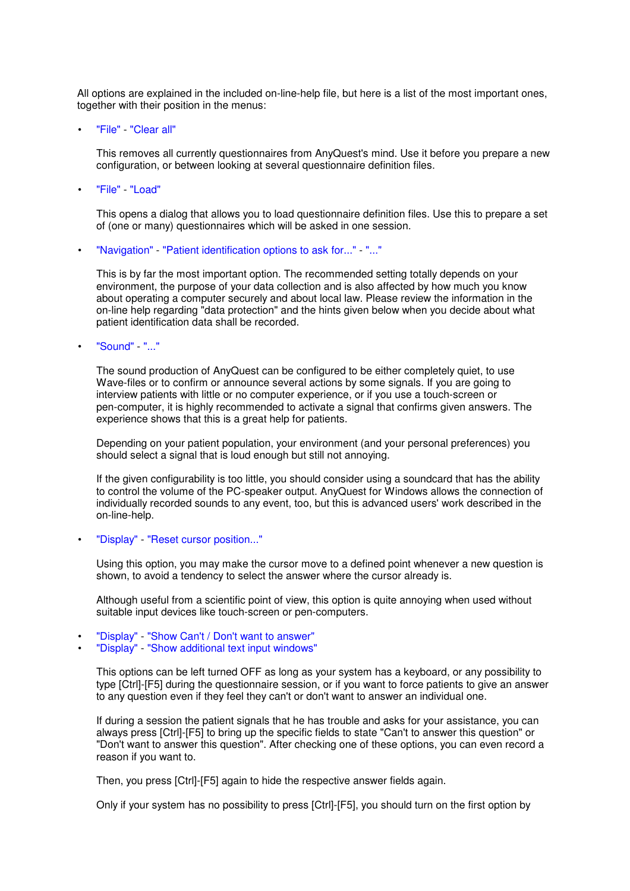All options are explained in the included on-line-help file, but here is a list of the most important ones, together with their position in the menus:

• "File" - "Clear all"

This removes all currently questionnaires from AnyQuest's mind. Use it before you prepare a new configuration, or between looking at several questionnaire definition files.

• "File" - "Load"

This opens a dialog that allows you to load questionnaire definition files. Use this to prepare a set of (one or many) questionnaires which will be asked in one session.

• "Navigation" - "Patient identification options to ask for..." - "..."

This is by far the most important option. The recommended setting totally depends on your environment, the purpose of your data collection and is also affected by how much you know about operating a computer securely and about local law. Please review the information in the on-line help regarding "data protection" and the hints given below when you decide about what patient identification data shall be recorded.

• "Sound" - "..."

The sound production of AnyQuest can be configured to be either completely quiet, to use Wave-files or to confirm or announce several actions by some signals. If you are going to interview patients with little or no computer experience, or if you use a touch-screen or pen-computer, it is highly recommended to activate a signal that confirms given answers. The experience shows that this is a great help for patients.

Depending on your patient population, your environment (and your personal preferences) you should select a signal that is loud enough but still not annoying.

If the given configurability is too little, you should consider using a soundcard that has the ability to control the volume of the PC-speaker output. AnyQuest for Windows allows the connection of individually recorded sounds to any event, too, but this is advanced users' work described in the on-line-help.

• "Display" - "Reset cursor position..."

Using this option, you may make the cursor move to a defined point whenever a new question is shown, to avoid a tendency to select the answer where the cursor already is.

Although useful from a scientific point of view, this option is quite annoying when used without suitable input devices like touch-screen or pen-computers.

- "Display" "Show Can't / Don't want to answer"
- "Display" "Show additional text input windows"

This options can be left turned OFF as long as your system has a keyboard, or any possibility to type [Ctrl]-[F5] during the questionnaire session, or if you want to force patients to give an answer to any question even if they feel they can't or don't want to answer an individual one.

If during a session the patient signals that he has trouble and asks for your assistance, you can always press [Ctrl]-[F5] to bring up the specific fields to state "Can't to answer this question" or "Don't want to answer this question". After checking one of these options, you can even record a reason if you want to.

Then, you press [Ctrl]-[F5] again to hide the respective answer fields again.

Only if your system has no possibility to press [Ctrl]-[F5], you should turn on the first option by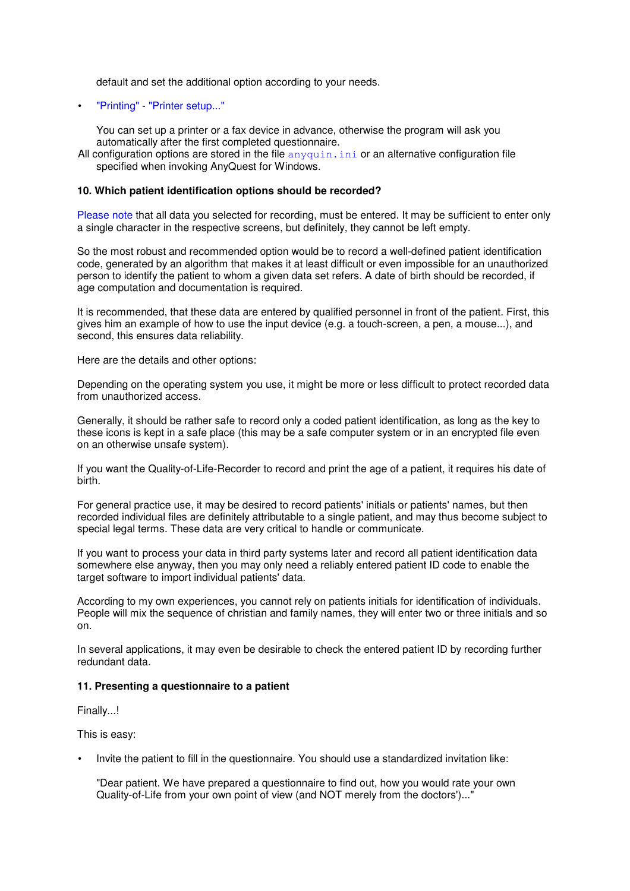default and set the additional option according to your needs.

• "Printing" - "Printer setup..."

You can set up a printer or a fax device in advance, otherwise the program will ask you automatically after the first completed questionnaire.

All configuration options are stored in the file  $\frac{anyquin.ini}$  or an alternative configuration file specified when invoking AnyQuest for Windows.

# **10. Which patient identification options should be recorded?**

Please note that all data you selected for recording, must be entered. It may be sufficient to enter only a single character in the respective screens, but definitely, they cannot be left empty.

So the most robust and recommended option would be to record a well-defined patient identification code, generated by an algorithm that makes it at least difficult or even impossible for an unauthorized person to identify the patient to whom a given data set refers. A date of birth should be recorded, if age computation and documentation is required.

It is recommended, that these data are entered by qualified personnel in front of the patient. First, this gives him an example of how to use the input device (e.g. a touch-screen, a pen, a mouse...), and second, this ensures data reliability.

Here are the details and other options:

Depending on the operating system you use, it might be more or less difficult to protect recorded data from unauthorized access.

Generally, it should be rather safe to record only a coded patient identification, as long as the key to these icons is kept in a safe place (this may be a safe computer system or in an encrypted file even on an otherwise unsafe system).

If you want the Quality-of-Life-Recorder to record and print the age of a patient, it requires his date of birth.

For general practice use, it may be desired to record patients' initials or patients' names, but then recorded individual files are definitely attributable to a single patient, and may thus become subject to special legal terms. These data are very critical to handle or communicate.

If you want to process your data in third party systems later and record all patient identification data somewhere else anyway, then you may only need a reliably entered patient ID code to enable the target software to import individual patients' data.

According to my own experiences, you cannot rely on patients initials for identification of individuals. People will mix the sequence of christian and family names, they will enter two or three initials and so on.

In several applications, it may even be desirable to check the entered patient ID by recording further redundant data.

#### **11. Presenting a questionnaire to a patient**

Finally...!

This is easy:

• Invite the patient to fill in the questionnaire. You should use a standardized invitation like:

"Dear patient. We have prepared a questionnaire to find out, how you would rate your own Quality-of-Life from your own point of view (and NOT merely from the doctors')..."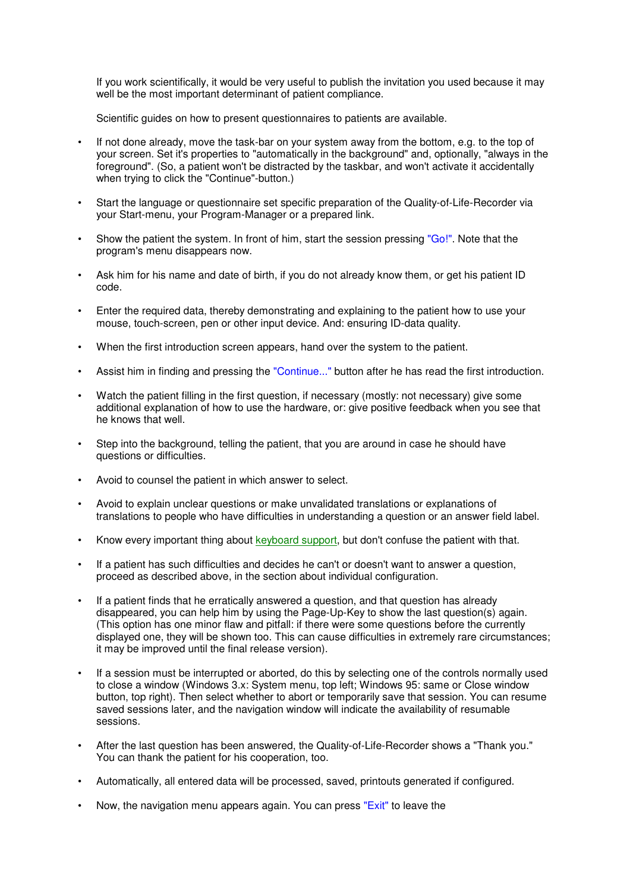If you work scientifically, it would be very useful to publish the invitation you used because it may well be the most important determinant of patient compliance.

Scientific guides on how to present questionnaires to patients are available.

- If not done already, move the task-bar on your system away from the bottom, e.g. to the top of your screen. Set it's properties to "automatically in the background" and, optionally, "always in the foreground". (So, a patient won't be distracted by the taskbar, and won't activate it accidentally when trying to click the "Continue"-button.)
- Start the language or questionnaire set specific preparation of the Quality-of-Life-Recorder via your Start-menu, your Program-Manager or a prepared link.
- Show the patient the system. In front of him, start the session pressing "Go!". Note that the program's menu disappears now.
- Ask him for his name and date of birth, if you do not already know them, or get his patient ID code.
- Enter the required data, thereby demonstrating and explaining to the patient how to use your mouse, touch-screen, pen or other input device. And: ensuring ID-data quality.
- When the first introduction screen appears, hand over the system to the patient.
- Assist him in finding and pressing the "Continue..." button after he has read the first introduction.
- Watch the patient filling in the first question, if necessary (mostly: not necessary) give some additional explanation of how to use the hardware, or: give positive feedback when you see that he knows that well.
- Step into the background, telling the patient, that you are around in case he should have questions or difficulties.
- Avoid to counsel the patient in which answer to select.
- Avoid to explain unclear questions or make unvalidated translations or explanations of translations to people who have difficulties in understanding a question or an answer field label.
- Know every important thing about keyboard support, but don't confuse the patient with that.
- If a patient has such difficulties and decides he can't or doesn't want to answer a question, proceed as described above, in the section about individual configuration.
- If a patient finds that he erratically answered a question, and that question has already disappeared, you can help him by using the Page-Up-Key to show the last question(s) again. (This option has one minor flaw and pitfall: if there were some questions before the currently displayed one, they will be shown too. This can cause difficulties in extremely rare circumstances; it may be improved until the final release version).
- If a session must be interrupted or aborted, do this by selecting one of the controls normally used to close a window (Windows 3.x: System menu, top left; Windows 95: same or Close window button, top right). Then select whether to abort or temporarily save that session. You can resume saved sessions later, and the navigation window will indicate the availability of resumable sessions.
- After the last question has been answered, the Quality-of-Life-Recorder shows a "Thank you." You can thank the patient for his cooperation, too.
- Automatically, all entered data will be processed, saved, printouts generated if configured.
- Now, the navigation menu appears again. You can press "Exit" to leave the